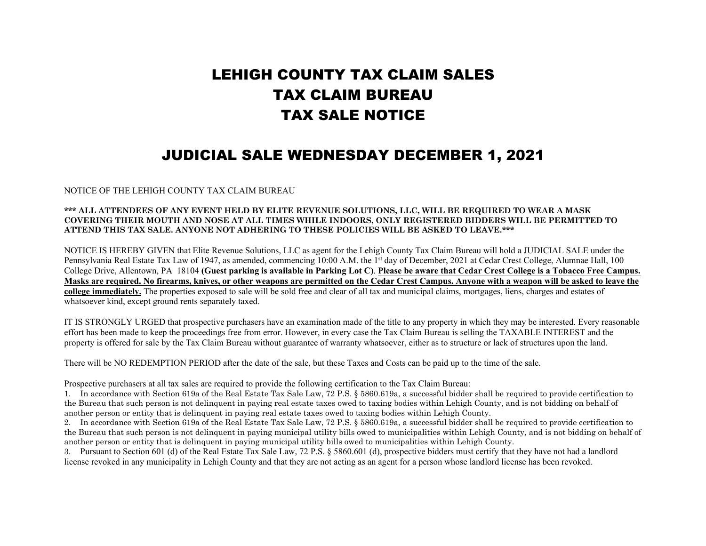## LEHIGH COUNTY TAX CLAIM SALES TAX CLAIM BUREAU TAX SALE NOTICE

## JUDICIAL SALE WEDNESDAY DECEMBER 1, 2021

NOTICE OF THE LEHIGH COUNTY TAX CLAIM BUREAU

## **\*\*\* ALL ATTENDEES OF ANY EVENT HELD BY ELITE REVENUE SOLUTIONS, LLC, WILL BE REQUIRED TO WEAR A MASK COVERING THEIR MOUTH AND NOSE AT ALL TIMES WHILE INDOORS, ONLY REGISTERED BIDDERS WILL BE PERMITTED TO ATTEND THIS TAX SALE. ANYONE NOT ADHERING TO THESE POLICIES WILL BE ASKED TO LEAVE.\*\*\***

NOTICE IS HEREBY GIVEN that Elite Revenue Solutions, LLC as agent for the Lehigh County Tax Claim Bureau will hold a JUDICIAL SALE under the Pennsylvania Real Estate Tax Law of 1947, as amended, commencing 10:00 A.M. the 1<sup>st</sup> day of December, 2021 at Cedar Crest College, Alumnae Hall, 100 College Drive, Allentown, PA 18104 **(Guest parking is available in Parking Lot C)**. **Please be aware that Cedar Crest College is a Tobacco Free Campus. Masks are required. No firearms, knives, or other weapons are permitted on the Cedar Crest Campus. Anyone with a weapon will be asked to leave the college immediately.** The properties exposed to sale will be sold free and clear of all tax and municipal claims, mortgages, liens, charges and estates of whatsoever kind, except ground rents separately taxed.

IT IS STRONGLY URGED that prospective purchasers have an examination made of the title to any property in which they may be interested. Every reasonable effort has been made to keep the proceedings free from error. However, in every case the Tax Claim Bureau is selling the TAXABLE INTEREST and the property is offered for sale by the Tax Claim Bureau without guarantee of warranty whatsoever, either as to structure or lack of structures upon the land.

There will be NO REDEMPTION PERIOD after the date of the sale, but these Taxes and Costs can be paid up to the time of the sale.

Prospective purchasers at all tax sales are required to provide the following certification to the Tax Claim Bureau:

1. In accordance with Section 619a of the Real Estate Tax Sale Law, 72 P.S. § 5860.619a, a successful bidder shall be required to provide certification to the Bureau that such person is not delinquent in paying real estate taxes owed to taxing bodies within Lehigh County, and is not bidding on behalf of another person or entity that is delinquent in paying real estate taxes owed to taxing bodies within Lehigh County.

2. In accordance with Section 619a of the Real Estate Tax Sale Law, 72 P.S. § 5860.619a, a successful bidder shall be required to provide certification to the Bureau that such person is not delinquent in paying municipal utility bills owed to municipalities within Lehigh County, and is not bidding on behalf of another person or entity that is delinquent in paying municipal utility bills owed to municipalities within Lehigh County.

3. Pursuant to Section 601 (d) of the Real Estate Tax Sale Law, 72 P.S. § 5860.601 (d), prospective bidders must certify that they have not had a landlord license revoked in any municipality in Lehigh County and that they are not acting as an agent for a person whose landlord license has been revoked.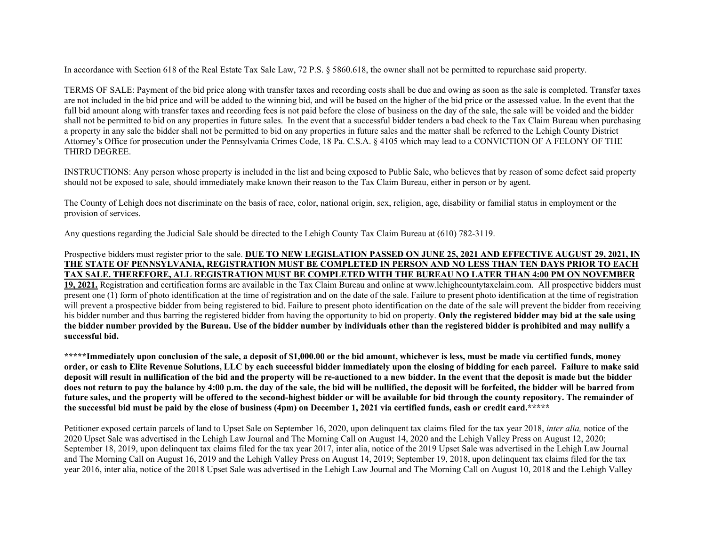In accordance with Section 618 of the Real Estate Tax Sale Law, 72 P.S. § 5860.618, the owner shall not be permitted to repurchase said property.

TERMS OF SALE: Payment of the bid price along with transfer taxes and recording costs shall be due and owing as soon as the sale is completed. Transfer taxes are not included in the bid price and will be added to the winning bid, and will be based on the higher of the bid price or the assessed value. In the event that the full bid amount along with transfer taxes and recording fees is not paid before the close of business on the day of the sale, the sale will be voided and the bidder shall not be permitted to bid on any properties in future sales. In the event that a successful bidder tenders a bad check to the Tax Claim Bureau when purchasing a property in any sale the bidder shall not be permitted to bid on any properties in future sales and the matter shall be referred to the Lehigh County District Attorney's Office for prosecution under the Pennsylvania Crimes Code, 18 Pa. C.S.A. § 4105 which may lead to a CONVICTION OF A FELONY OF THE THIRD DEGREE.

INSTRUCTIONS: Any person whose property is included in the list and being exposed to Public Sale, who believes that by reason of some defect said property should not be exposed to sale, should immediately make known their reason to the Tax Claim Bureau, either in person or by agent.

The County of Lehigh does not discriminate on the basis of race, color, national origin, sex, religion, age, disability or familial status in employment or the provision of services.

Any questions regarding the Judicial Sale should be directed to the Lehigh County Tax Claim Bureau at (610) 782-3119.

## Prospective bidders must register prior to the sale. **DUE TO NEW LEGISLATION PASSED ON JUNE 25, 2021 AND EFFECTIVE AUGUST 29, 2021, IN THE STATE OF PENNSYLVANIA, REGISTRATION MUST BE COMPLETED IN PERSON AND NO LESS THAN TEN DAYS PRIOR TO EACH TAX SALE. THEREFORE, ALL REGISTRATION MUST BE COMPLETED WITH THE BUREAU NO LATER THAN 4:00 PM ON NOVEMBER**

**19, 2021.** Registration and certification forms are available in the Tax Claim Bureau and online at www.lehighcountytaxclaim.com. All prospective bidders must present one (1) form of photo identification at the time of registration and on the date of the sale. Failure to present photo identification at the time of registration will prevent a prospective bidder from being registered to bid. Failure to present photo identification on the date of the sale will prevent the bidder from receiving his bidder number and thus barring the registered bidder from having the opportunity to bid on property. **Only the registered bidder may bid at the sale using the bidder number provided by the Bureau. Use of the bidder number by individuals other than the registered bidder is prohibited and may nullify a successful bid.**

**\*\*\*\*\*Immediately upon conclusion of the sale, a deposit of \$1,000.00 or the bid amount, whichever is less, must be made via certified funds, money order, or cash to Elite Revenue Solutions, LLC by each successful bidder immediately upon the closing of bidding for each parcel. Failure to make said deposit will result in nullification of the bid and the property will be re-auctioned to a new bidder. In the event that the deposit is made but the bidder does not return to pay the balance by 4:00 p.m. the day of the sale, the bid will be nullified, the deposit will be forfeited, the bidder will be barred from future sales, and the property will be offered to the second-highest bidder or will be available for bid through the county repository. The remainder of the successful bid must be paid by the close of business (4pm) on December 1, 2021 via certified funds, cash or credit card.\*\*\*\*\***

Petitioner exposed certain parcels of land to Upset Sale on September 16, 2020, upon delinquent tax claims filed for the tax year 2018, *inter alia,* notice of the 2020 Upset Sale was advertised in the Lehigh Law Journal and The Morning Call on August 14, 2020 and the Lehigh Valley Press on August 12, 2020; September 18, 2019, upon delinquent tax claims filed for the tax year 2017, inter alia, notice of the 2019 Upset Sale was advertised in the Lehigh Law Journal and The Morning Call on August 16, 2019 and the Lehigh Valley Press on August 14, 2019; September 19, 2018, upon delinquent tax claims filed for the tax year 2016, inter alia, notice of the 2018 Upset Sale was advertised in the Lehigh Law Journal and The Morning Call on August 10, 2018 and the Lehigh Valley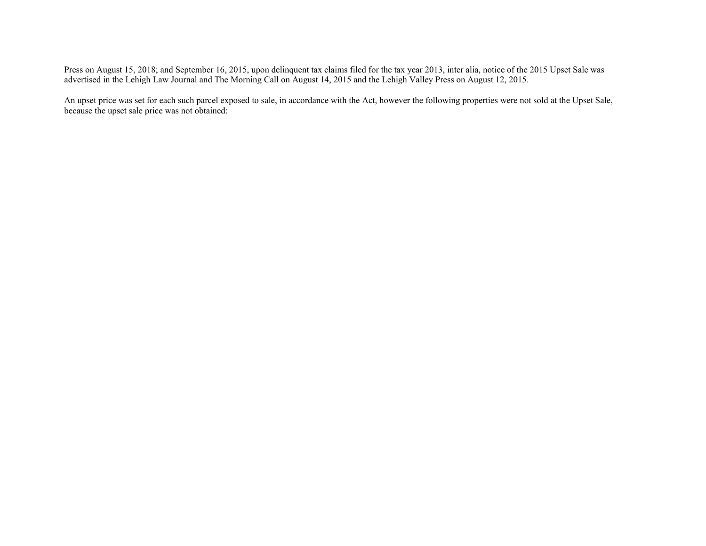Press on August 15, 2018; and September 16, 2015, upon delinquent tax claims filed for the tax year 2013, inter alia, notice of the 2015 Upset Sale was advertised in the Lehigh Law Journal and The Morning Call on August 14, 2015 and the Lehigh Valley Press on August 12, 2015.

An upset price was set for each such parcel exposed to sale, in accordance with the Act, however the following properties were not sold at the Upset Sale, because the upset sale price was not obtained: